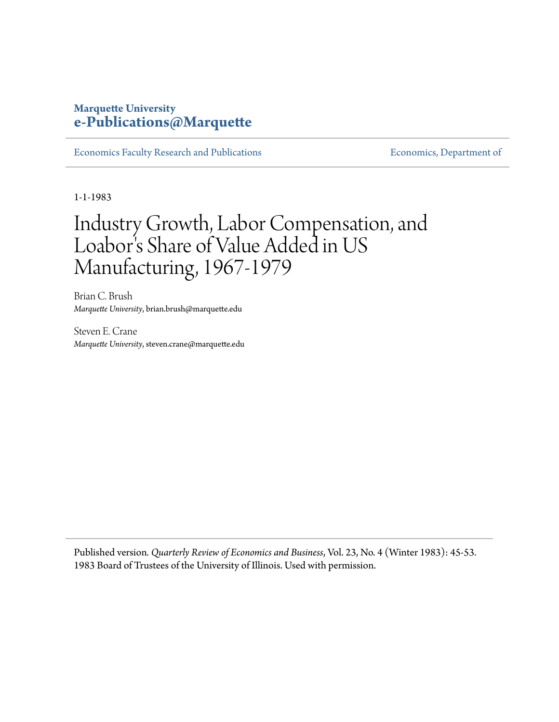# **Marquette University [e-Publications@Marquette](https://epublications.marquette.edu)**

[Economics Faculty Research and Publications](https://epublications.marquette.edu/econ_fac) **Economics**, Department of

1-1-1983

# Industry Growth, Labor Compensation, and Loabor 's Share of Value Added in US Manufacturing, 1967-1979

Brian C. Brush *Marquette University*, brian.brush@marquette.edu

Steven E. Crane *Marquette University*, steven.crane@marquette.edu

Published version*. Quarterly Review of Economics and Business*, Vol. 23, No. 4 (Winter 1983): 45-53. 1983 Board of Trustees of the University of Illinois. Used with permission.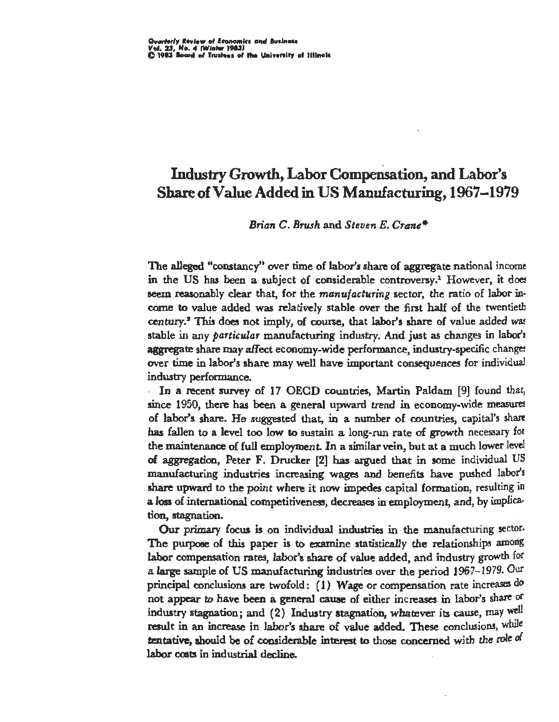# Industry Growth, Labor Compensation, and Labor's Share of Value Added in US Manufacturing, 1967-1979

# *Brian C. Brush* and *Steven E. Crane\**

The alleged "constancy" over time of labor's share of aggregate national income in the US has been a subject of considerable controversy.<sup>1</sup> However, it does seem reasonably clear that, for the *manufacturing* sector, the ratio of labor income to value added was relatively stable over the first half of the twentieth century.<sup>2</sup> This does not imply, of course, that labor's share of value added was stable in any *particular* manufacturing industry. And just as changes in labor'! aggregate share may affect economy-wide performance, industry-specific changes over time in labor's share may well have important consequences for individual industry performance.

In a recent survey of 17 OECD countries, Martin Paldam [9] found that, since 1950, there has been a general upward trend in economy-wide measures of labor's share. He suggested that, in a number of countries, capital's share has fallen to a level too low to sustain a long-run rate of growth necessary for the maintenance of full employment. In a similar vein, but at a much lower level of aggregation, Peter F. Drucker [2] has argued that in some individual US manufacturing industries increasing wages and benefits have pushed labor's share upward to the point where it now impedes capital formation, resulting in a loss of international competitiveness, decreases in employment, and, by implication, stagnation.

Our primary focus is on individual industries in the manufacturing sector. The purpose of this paper is to examine statistically the relationships among labor compensation rates, labor's share of value added, and industry growth for a large sample of US manufacturing industries over the period 1967- 1979. Our principal conclusions are twofold: (1) Wage or compensation rate increases do not appear to have been a general cause of either increases in labor's share or industry stagnation; and  $(2)$  Industry stagnation, whatever its cause, may well result in an increase in labor's share of value added. These conclusions, while tentative, should be of considerable interest to those concerned with the role of labor costs in industrial decline.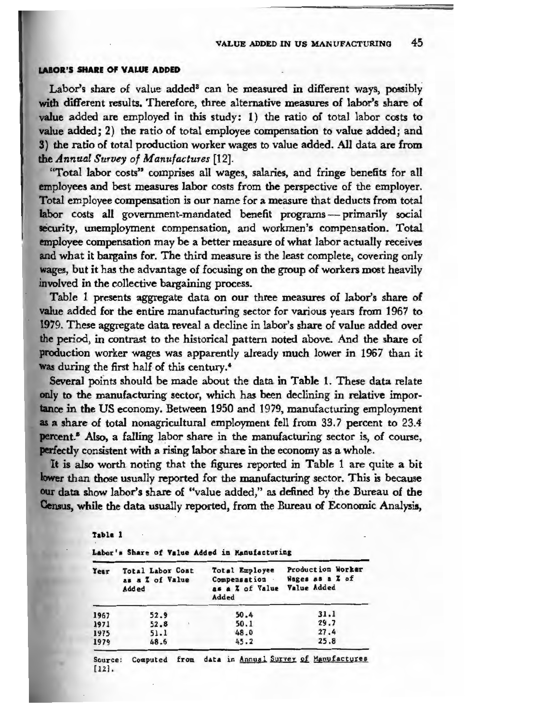#### **LABOR'S SHARE OF VALUE ADDED**

Labor's share of value added<sup>8</sup> can be measured in different ways, possibly **with** different results. Therefore, three alternative measures of labor's share of **value** added are employed in this study: 1) the ratio of total labor costs to value added; 2) the ratio of total employee compensation to value added; and **3) the** ratio of total production worker wages to value added. All data are from the *Annual Survey of Manufactures* [12].

"Total labor costs" comprises all wages, salaries, and fringe benefits for all **employees** and best measures labor costs from the perspective of the employer. **Total** employee compensation is our name for a measure that deducts from total labor costs all government-mandated benefit programs -- primarily social security, unemployment compensation, and workmen's compensation. Total **employee** compensation may be a better measure of what labor actually receives and what it bargains for. The third measure is the least complete, covering only wages, but it has the advantage of focusing on the group of workers most heavily involved in the collective bargaining process.

Table 1 presents aggregate data on our three measures of labor's share of value added for the entire manufacturing sector for various years from 1967 to 1979. These aggregate data reveal a decline in labor's share of value added over the period, in contrast to the historical pattern noted above. And the share of production worker wages was apparently already much lower in 1967 than it **was** during the first half-of this century.'

Several points should be made about the data in Table 1. These data relate only to the manufacturing sector, which has been declining in relative importance in the US economy. Between 1950 and 1979, manufacturing employment as a share of total nonagricultural employment fell from 33.7 percent to 23.4 **percent.**<sup>5</sup> Also, a falling labor share in the manufacturing sector is, of course, **perfectly** consistent with a rising labor share in the economy as a whole.

It is also worth noting that the figures reported in Table 1 are quite a bit **lower** than those usually reported for the manufacturing sector. This is because **our data** show labor's share of "value added," as defined by the Bureau of the Census, while the data usually reported, from the Bureau of Economic Analysis,

**Table** 1

Labor's Share of Value Added in Manufacturing

| Year | Total Labor Cost<br>as a Z of Value<br>Added | Total Employee<br>Compensation<br>as a % of Value<br>Added | Production Worker<br>Wages as a Z of<br>Value Added |
|------|----------------------------------------------|------------------------------------------------------------|-----------------------------------------------------|
| 1967 | 52.9                                         | 50.4                                                       | 31.1                                                |
| 1971 | 52.8                                         | 50.1                                                       | 29.7                                                |
| 1975 | 51.1                                         | 48.0                                                       | 27.4                                                |
| 1979 | 48.6                                         | 45.2                                                       | 25.8                                                |

Source: Computed from data in Annual Survey of Manufactures [12].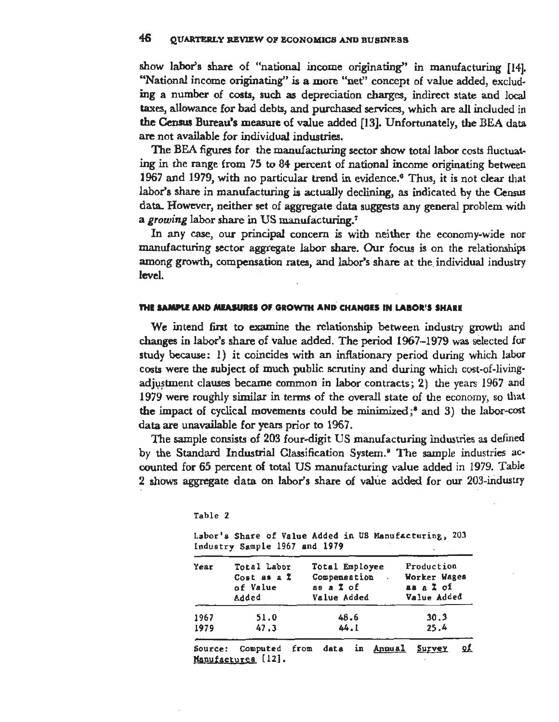show labor's share of "national income originating'' in manufacturing (14]. "National income originating'' is a more "net'' concept of value added, excluding a number of costs, such as depreciation charges, indirect state and local taxes, allowance for bad debts, and purchased services, which are all included in the Census Bureau's measure of value added [13]. Unfortunately, the BEA data are not available for individual industries.

The BEA figures for the manufacturing sector show total labor costs fluctuating in the range from 75 to 84 percent of national income originating between 1967 and 1979, with no particular trend in evidence.<sup>6</sup> Thus, it is not clear that labor's share in manufacturing is actually declining, as indicated by the Census data. However, neither set of aggregate data suggests any general problem with a *growing* labor share in US manufacturing.<sup>7</sup>

In any case, our principal concern is with neither the economy-wide nor manufacturing sector aggregate labor share. Our focus is on the relationships among growth, compensation rates, and labor's share at the individual industry level.

### **THE SAMPLE AND MEASURES OF GROWTH AND CHANGES IN LABOR'S SHARE**

Table 2

We intend first to examine the relationship between industry growth and changes in labor's share of value added. The period 1967- 1979 was selected for study because: 1) it coincides with an inflationary period during which labor costs were the subject of much public scrutiny and during which cost-of-livingadjustment clauses became common in labor contracts; 2) the years 1967 and l 979 were roughly similar in terms of the overall state of the economy, so that the impact of cyclical movements could be minimized;<sup>8</sup> and 3) the labor-cost data are unavailable for years prior to 1967.

The sample consists of 203 four-digit US manufacturing industries as defined by the Standard Industrial Classification System.<sup>9</sup> The sample industries accounted for 65 percent of total US manufacturing value added in 1979. Table 2 shows aggregate data on labor's share of value added for our 203-industry

|         | Labor's Share of Value Added in US Manufacturing, 203<br>Industry Sample 1967 and 1979 |                                                            |      |           |                                                        |    |
|---------|----------------------------------------------------------------------------------------|------------------------------------------------------------|------|-----------|--------------------------------------------------------|----|
| Year    | Total Labor<br>Cost as a I<br>of Value<br>Added                                        | Total Employee<br>Compensation<br>as a % of<br>Value Added |      | $\sim 10$ | Production<br>Worker Wages<br>aa a % of<br>Value Added |    |
| 1967    | 51.0                                                                                   |                                                            | 48.6 |           | 30.3                                                   |    |
| 1979    | 47.3                                                                                   |                                                            | 44.1 |           | 25.4                                                   |    |
| Source: | Computed from data in Annual<br>$\overline{u}$ , fini                                  |                                                            |      |           | <u>Survey</u>                                          | Q£ |

Manufactures [12]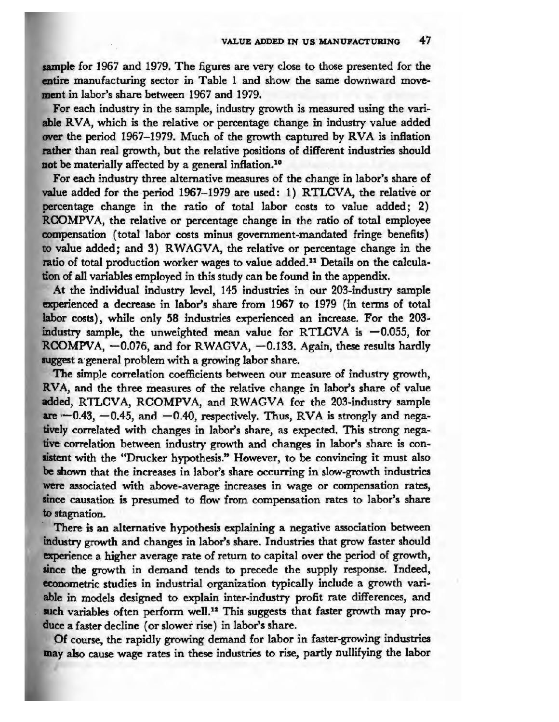**sample** for 1967 and 1979. The figures are very close to those presented for the **entire** manufacturing sector in Table 1 and show the same downward movement in labor's share between 1967 and 1979.

For each industry in the sample, industry growth is measured using the vari**able** RVA, which is the relative or percentage change in industry value added over the period 1967-1979. Much of the growth captured by RVA is inflation **rather** than real growth, but the relative positions of different industries should not be materially affected by a general inflation.<sup>10</sup>

For each industry three alternative measures of the change in labor's share of value added for the period 1967-1979 are used: 1) RTLCVA, the relative or percentage change in the ratio of total labor costs to value added; 2) RCOMPVA, the relative or percentage change in the ratio of total employee compensation ( total labor costs minus government-mandated fringe benefits) to value added; and 3) RWAGVA, the relative or percentage change in the ratio of total production worker wages to value added.11 Details on the calculation of all variables employed in this study can be found in the appendix.

At the individual industry level, 145 industries in our 203-industry sample experienced a decrease in labor's share from 1967 to 1979 (in terms of total **labor** costs), while only 58 industries experienced an increase. For the 203 industry sample, the unweighted mean value for RTLCVA is  $-0.055$ , for RCOMPVA, -0.076, and for RWAGVA, -0.133. Again, these results hardly suggest a general problem with a growing labor share.

The simple correlation coefficients between our measure of industry growth, **RV A,** and the three measures of the relative change in labor's share of value added, RTLCVA, RCOMPVA, and RWAGVA for the 203-industry sample  $are -0.43, -0.45,$  and  $-0.40$ , respectively. Thus, RVA is strongly and negatively correlated with changes in labor's share, as expected. This strong nega**tive** correlation between industry growth and changes in labor's share is consistent with the "Drucker hypothesis." However, to be convincing it must also **be** shown that the increases in labor's share occurring in slow-growth industries **were** associated with above-average increases in wage or compensation rates, since causation is presumed to flow from compensation rates to labor's share to stagnation.

There is an alternative hypothesis explaining a negative association between industry growth and changes in labor's share. Industries that grow faster should **experience** a higher average rate of return to capital over the period of growth, since the growth in demand tends to precede the supply response. Indeed, econometric studies in industrial organization. typically include a growth vari**able** in models designed to explain inter-industry profit rate differences, and such variables often perform well.<sup>12</sup> This suggests that faster growth may produce a faster decline ( or slower rise) in labor's share.

Of course, the rapidly growing demand for labor in faster-growing industries may also cause wage rates in these industries to rise, partly nullifying the labor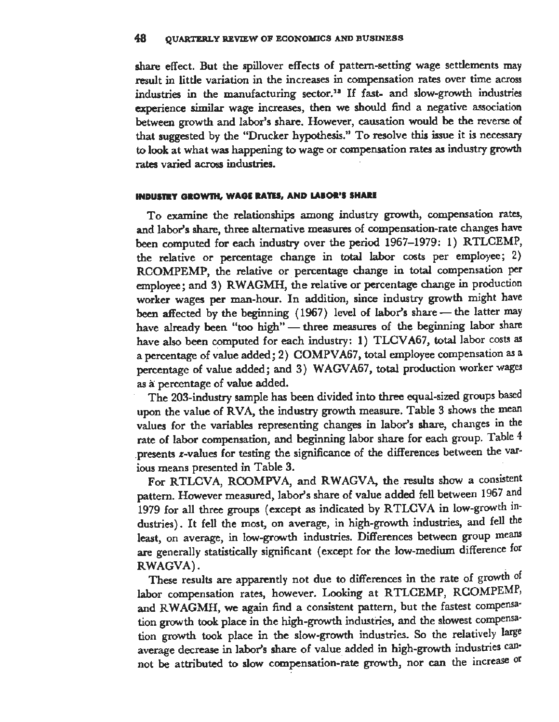share effect. But the spillover effects of pattern-setting wage settlements may result in little variation in the increases in compensation rates over time across industries in the manufacturing sector.<sup>18</sup> If fast- and slow-growth industries experience similar wage increases, then we should find a negative association between growth and labor's share. However, causation would be the reverse of that suggested by the "Drucker hypothesis." To resolve this issue it is necessary to look at what was happening to wage or compensation rates as industry growth rates varied across industries.

# **INDUSTRY GROWTH, WAGE RATES, AND LABOR'S SHARE**

To examine the relationships among industry growth, compensation rates, and labor's share, three alternative measures of compensation-rate changes have been computed for each industry over the period 1967-1979: 1) RTLCEMP, the relative or percentage change in total labor costs per employee; 2) RCOMPEMP, the relative or percentage change in total compensation per employee; and 3) RWAGMH, the relative or percentage change in production worker wages per man-hour. In addition, since industry growth might have been affected by the beginning (1967) level of labor's share - the latter may have already been "too high" - three measures of the beginning labor share have also been computed for each industry: 1) TLCVA67, total labor costs as a percentage of value added; 2) COMPVA67, total employee compensation as a percentage of value added; and 3) WAGV A67, total production worker wages as a: percentage of value added.

The 203-industry sample has been divided into three equal-sized groups based upon the value of RVA, the industry growth measure. Table 3 shows the mean values for the variables representing changes in labor's share, changes in the rate of labor compensation, and beginning labor share for each group. Table 4 .presents z-values for testing the significance of the differences between the various means presented in Table 3.

For RTLCVA, RCOMPVA, and RWAGVA, the results show a consistent pattern. However measured, labor's share of value added fell between 1967 and 1979 for all three groups (except as indicated by RTLCVA in low-growth industries). It fell the most, on average, in high-growth industries, and fell the least, on average, in low-growth industries. Differences between group means are generally statistically significant ( except for the low-medium difference for RWAGVA).

These results are apparently not due to differences in the rate of growth of labor compensation rates, however. Looking at RTLCEMP, RCOMPEMP, and RWAGMH, we again find a consistent pattern, but the fastest compensation growth took place in the high-growth industries, and the slowest compensation growth took place in the slow-growth industries. So the relatively large average decrease in labor's share of value added in high-growth industries cannot be attributed to slow compensation-rate growth, nor can the increase or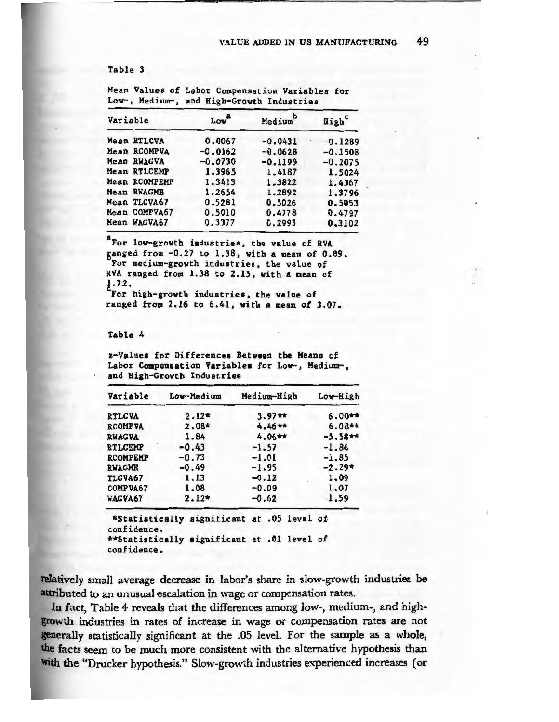Table 3

| Variable      | Lova      | Medium    | High <sup>c</sup> |
|---------------|-----------|-----------|-------------------|
| Mean RTLCVA   | 0.0067    | $-0.0431$ | $-0.1289$         |
| Mean RCOMPVA  | $-0.0162$ | $-0.0628$ | $-0.1508$         |
| Mean RWAGVA   | $-0.0730$ | $-0.1199$ | $-0.2075$         |
| Mean RTLCEMP  | 1.3965    | 1.4187    | 1.5024            |
| Mean RCOMPEMP | 1.3413    | 1.3822    | 1.4367            |
| Mean RWAGMH   | 1,2654    | 1.2892    | 1.3796            |
| Mean TLCVA67  | 0.5281    | 0.5026    | 0.5053            |
| Mean COMPVA67 | 0.5010    | 0.4778    | 0.4797            |
| Mean WAGVA67  | 0.3377    | 0.2993    | 0.3102            |

Mean Values of Labor Compensation **Variables** for Low-, Medium-, and High-Growth Industries

<sup>8</sup> For low-growth industries, the value of RVA **6anged** from -0.27 to 1.38, **with a mean** of 0.89. For **medium-growth industries,** the value of RVA ranged from 1.38 to 2. 15, with. a **mean** of !-72. For high-growth industries, the value of ranged from 2.16 to 6.41, with a mean of 3.07 .

#### Table 4

z-Values for Differences Between the Means of Labor Compensation Variables for Low-, Medium-, and High-Growth **lnduatries** 

| Low-Medium | Medium-High | Low-High   |
|------------|-------------|------------|
| $2.12*$    | $3.97**$    | $6.00**$   |
| $2.08*$    | $4.46**$    | $6.08$ **  |
| 1.84       | $4.06**$    | $-5.58$ ** |
| $-0.43$    | $-1.57$     | $-1.86$    |
| $-0.73$    | $-1.01$     | $-1.85$    |
| $-0.49$    | $-1.95$     | $-2.29*$   |
| 1.13       | $-0.12$     | 1.09       |
| 1.08       | $-0.09$     | 1.07       |
| $2.12*$    | $-0.62$     | 1.59       |
|            |             |            |

\*Statiatically significant at . 05 level of confidence. \*\*Statiatically significant at .01 level of confidence.

relatively small average decrease in labor's share in slow-growth industries be attributed to an unusual escalation in wage or compensation rates.

In fact, Table 4 reveals that the differences among low-, medium-, and highgrowth industries in rates of increase in wage or compensation rates are not generally statistically significant at the .05 level. For the sample as a whole, **die** facts seem to be much more consistent with the alternative hypothesis than with the "Drucker hypothesis." Slow-growth industries experienced increases (or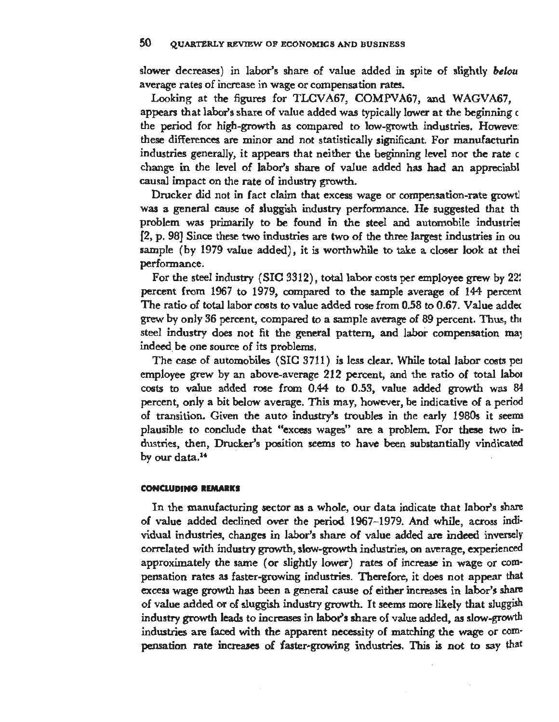slower decreases) in labor's share of value added in spite of slightly *belou*  average rates of increase in wage or compensation rates.

Looking at the figures for TLCVA67, COMPVA67, and WAGVA67, appears that labor's share of value added was typically lower at the beginning c the period for high-growth as compared to low-growth industries. Howeve: these differences are minor and not statistically significant. For manufacturin industries generally, it appears that neither the beginning level nor the rate c change in the level of labor's share of value added has had an appreciabl causal impact on the rate of industry growth.

Drucker did not in fact claim that excess wage or compensation-rate growtl was a general cause of sluggish industry performance. He suggested that th  $problem$  was primarily to be found in the steel and automobile industries [2, p. 98] Since these two industries are two of the three largest industries in ou sample (by 1979 value added), it is worthwhile to take a closer look at their performance.

For the steel industry (SIC 3312), total labor costs per employee grew-by 22! percent from 1967 to 1979, compared to the sample average of 144 percent The ratio of total labor costs to value added rose from 0.58 to 0.67. Value addec grew by only 36 percent, compared to a sample average of 89 percent. Thus, th• steel industry does not fit the general pattern, and labor compensation may indeed. be one source of its problems.

The case of automobiles (SIC 3711) is less clear. While total labor costs pe1 employee grew by an above-average 212 percent, and the ratio of total labo1 costs to value added rose from 0.44 to 0.53, value added growth was 84 percent, only a bit below average. This may, however, be indicative of a period of transition. Given the auto industry's troubles in the early 1980s it seems plausible to conclude that "excess wages" are a problem. For these two industries, then, Drucker's position seems to have been substantially vindicated by our data.<sup>14</sup>

### **CONCLUDING REMARKS**

In the manufacturing sector as a whole, our data indicate that labor's share of value added declined over the period 1967-1979. And while, across individual industries, changes in labor's share of value added are indeed inversely correlated with industry growth, slow-growth industries, on average, experienced approximately the same ( or slightly lower) rates of increase in wage or com· pensation rates as faster-growing industries. Therefore, it does not appear that excess wage growth has been a general cause of either increases in labor's share of value added or of sluggish industry growth. It seems more likely that sluggish industry growth leads to increases in labor's share of value added, as slow-growth industries are faced with the apparent necessity of matching the wage or compensation rate increases of faster-growing industries. This is not to say that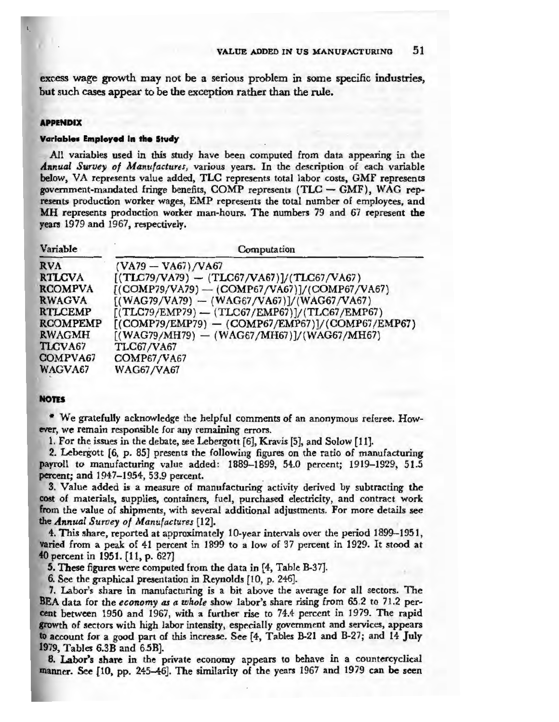excess wage growth may not be a serious problem in some specific industries, but such cases appear to be the exception rather than the rule.

#### **APPENDIX**

#### **Variables Employed in the Study**

All variables used in this study have been computed from data appearing in the *Annual Survey of Manufactures,* various years. In the description of each variable **below,** VA represents value added, TLC represents total labor costs, GMF represents government-mandated fringe benefits, COMP represents (TLC - GMF), WAG represents production worker wages, EMP represents the total number of employees, and **MH** represents production worker man-hours. The numbers 79 and 67 represent the **years** 1979 and 1967, respectively.

| Variable        | Computation                                        |
|-----------------|----------------------------------------------------|
| <b>RVA</b>      | $(VA79 - VA67)/VA67$                               |
| <b>RTLCVA</b>   | $[(TLC79/VA79) - (TLC67/VA67)]/(TLC67/VA67)$       |
| <b>RCOMPVA</b>  | $[(COMP79/VA79) - (COMP67/VA67)]/(COMP67/VA67)$    |
| <b>RWAGVA</b>   | $[(WAG79/VA79) - (WAG67/VA67)]/(WAG67/VA67)$       |
| <b>RTLCEMP</b>  | $[(TLC79/EMP79) - (TLG67/EMP67)]/(TLC67/EMP67)$    |
| <b>RCOMPEMP</b> | $[(COMP79/EMP79) - (COMP67/EMP67)]/(COMP67/EMP67)$ |
| <b>RWAGMH</b>   | $[(WAG79/MH79) - (WAG67/MH67)]/(WAG67/MH67)$       |
| TLCVA67         | <b>TLC67/VA67</b>                                  |
| COMPVA67        | <b>COMP67/VA67</b>                                 |
| WAGVA67         | <b>WAG67/VA67</b>                                  |

#### **NOTES**

• We gratefully acknowledge the helpful comments of an anonymous referee. However, we remain responsible for any remaining errors.

1. For the issues in the debate, see Lebergott [6), Kravis [5], and Solow [11].

2. Lebergott (6, p. 85) presents the following figures on the ratio of manufacturing payroll to manufacturing value added: 1889-1899, 54.0 percent; 1919-1929, 51.5 percent; and 1947-1954, 53.9 percent.

3. Value added is a measure of manufacturing activity derived by subtracting the cost of materials, supplies, containers, fuel, purchased electricity, and contract work from the value of shipments, with several additional adjustments. For more details see the *Annual Survey of Manufactures* [12).

**4.** This share, reported at approximately 10-year intervals over the period 1899-1951, **varied** from a peak of 41 percent in 1899 to a low of 37 percent in 1929. It stood at **40** percent in 1951. {11, p. 627)

**5. These figures were computed from the data in [4, Table B-37].** 

6. See the graphical presentation in Reynolds [10, p. 246).

7. Labor's share in manufacturing is a bit above the average for all sectors. The BEA data for the *economy* as a whole show labor's share rising from 65.2 to 71.2 percent between 1950 and 1967, with a further rise to 74.4 percent in 1979. The rapid **growth** of sectors with high labor intensity, especially government and services, appears **1lo** account for a good part of this increase. See (4, Tables B-21 and B-27; and 14 July 1979, Tables 6.3B and 6.5B].

8. Labor's share in the private economy appears to behave in a countercyclical manner. See [10, pp. 245-46]. The similarity of the years 1967 and 1979 can be seen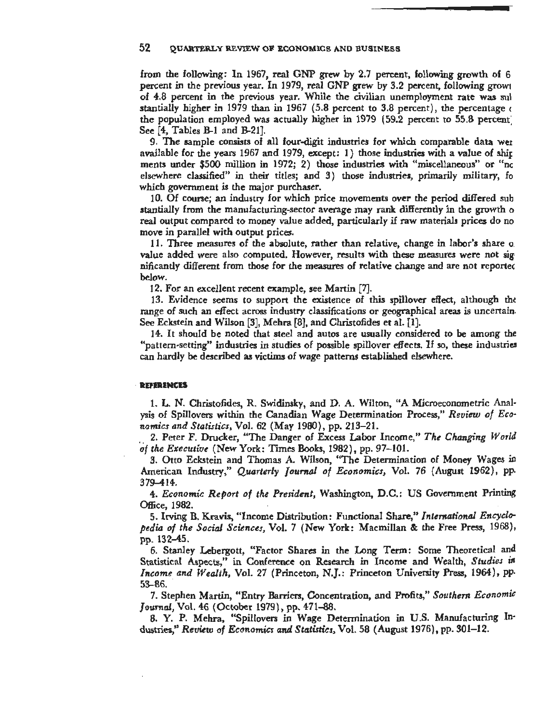from the following: In 1967, real GNP grew by 2.7 percent, following growth of 6 percent in the previous year. In 1979, real GNP grew by 3.2 percent, following growt of 4.8 percent in the previous year. While the civilian unemployment rate was sul stantially higher in 1979 than in 1967 (5.8 percent to 3.8 percent), the percentage  $\epsilon$ the population employed was actually higher in 1979 (59.2 percent to 55.8 percent: See [4, Tables B-1 and B-21].

9. The sample consists of all four-digit industries for which comparable data wer available for the years 1967 and 1979, except: 1) those industries with a value of shir ments under \$500 million in 1972; 2) those industries with "miscellaneous" or "nc elsewhere classified" in their titles; and 3) those industries, primarily military, fo which government is the major purchaser.

10. Of course; an industry for which price movements over the period differed sub stantially from the manufacturing-sector average may rank differently in the growth o real output compared to money value added, particularly if raw materials prices do no move in parallel with output prices.

11. Three measures of the absolute, rather than relative, change in labor's share o. value added were also computed. However, results with these measures were not sig· nificantly different from those for the measures of relative change and are not reportec below.

12. For an excellent recent example, see Martin [7].

13. Evidence seems to support the existence of this spillover effect, although tht range of such an effect across industry classifications or geographical areas is uncertain. See Eckstein and Wilson [3], Mehra [8], and Christofides et al. [1].

14. It should be noted that steel and autos are usually considered to be among the "pattern-setting" industries in studies of possible spillover effects. If so, these industries can hardly be described as victims of wage patterns established elsewhere.

#### · **REFERENCES**

1. L. N. Christofides, R. Swidinsky, and D. A. Wilton, "A Microeconometric Analysis of Spillovers within the Canadian Wage Determination Process,'' *Review of Economics and Statistics,* Vol. 62 (May 1980), pp. 213-21.

2. Peter F. Drucker, "The Danger of Excess Labor Income," *The Changing World*  'of *the Executive* (New York : Times Books, 1982), pp. 97-101.

3. Otto Eckstein and Thomas A. Wilson, "The Determination of Money Wages in American Industry," *Quarterly Journal of Economics,* Vol. 76 (August 1962), pp. 379-414.

4. *Economic Report of the President,* Washington, D.C.: US Government Printing Office, 1982.

5. Irving B. Kravis, "Income Distribution: Functional Share," *International Encyclopedia of the Social Sciences,* Vol. 7 (New York: Macmillan & the Free Press, 1968), pp. 132-45.

6. Stanley Lebergott, "Factor Shares in the Long Term: Some Theoretical and Statistical Aspects,'~ in Conference on Research in Income and Wealth, *Studies in Income and Wealth, Vol. 27 (Princeton, N.J.: Princeton University Press, 1964), pp.* 53-86.

7. Stephen Martin, "Entry Barriers, Concentration, and Profits," *Southern Economic Journal,* Vol. 46 (October 1979), pp. 471-88.

8. Y. P. Mehra, "Spillovers in Wage Determination in U.S. Manufacturing Industries," *Review of Economics and Statistics,* Vol. 58 (August 1976), pp. 301-12.